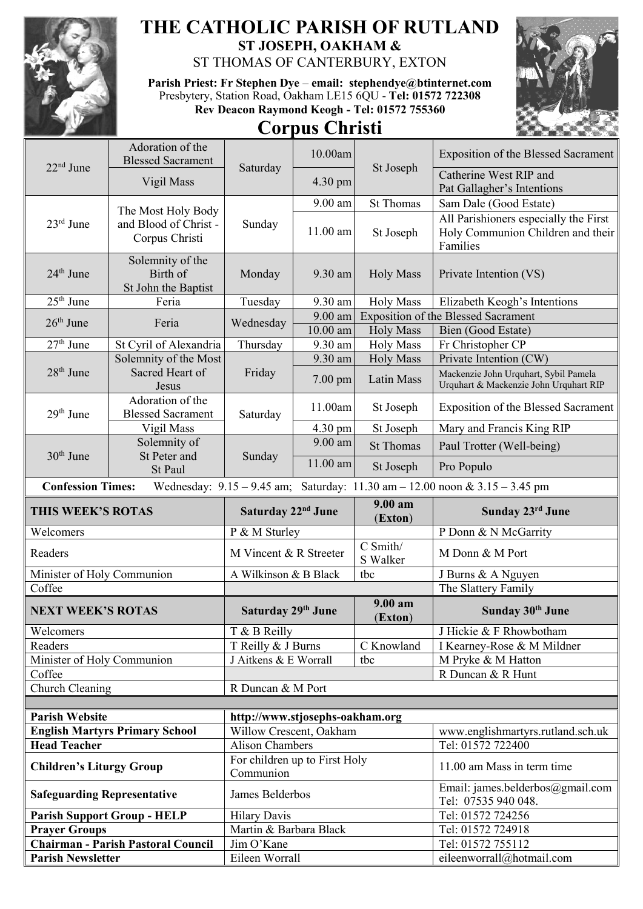

## **THE CATHOLIC PARISH OF RUTLAND ST JOSEPH, OAKHAM &**

ST THOMAS OF CANTERBURY, EXTON

**Parish Priest: Fr Stephen Dye** – **[email: stephendye@btinternet.com](mailto:email:%20%20stephendye@btinternet.com)** Presbytery, Station Road, Oakham LE15 6QU - **Tel: 01572 722308 Rev Deacon Raymond Keogh - Tel: 01572 755360**





| 22 <sup>nd</sup> June              | Adoration of the<br><b>Blessed Sacrament</b>                  |                                            | 10.00am                                                     |                                                      | <b>Exposition of the Blessed Sacrament</b>                                             |
|------------------------------------|---------------------------------------------------------------|--------------------------------------------|-------------------------------------------------------------|------------------------------------------------------|----------------------------------------------------------------------------------------|
|                                    | Vigil Mass                                                    | St Joseph<br>Saturday<br>4.30 pm           |                                                             | Catherine West RIP and<br>Pat Gallagher's Intentions |                                                                                        |
|                                    |                                                               |                                            | 9.00 am                                                     | <b>St Thomas</b>                                     | Sam Dale (Good Estate)                                                                 |
| 23rd June                          | The Most Holy Body<br>and Blood of Christ -<br>Corpus Christi | Sunday                                     | 11.00 am                                                    | St Joseph                                            | All Parishioners especially the First<br>Holy Communion Children and their<br>Families |
| 24 <sup>th</sup> June              | Solemnity of the<br>Birth of<br>St John the Baptist           | Monday                                     | 9.30 am                                                     | <b>Holy Mass</b>                                     | Private Intention (VS)                                                                 |
| $25th$ June                        | Feria                                                         | Tuesday                                    | 9.30 am<br><b>Holy Mass</b><br>Elizabeth Keogh's Intentions |                                                      |                                                                                        |
| $26th$ June                        | Feria                                                         | Wednesday                                  | $9.00$ am                                                   |                                                      | <b>Exposition of the Blessed Sacrament</b>                                             |
|                                    |                                                               |                                            | $10.00$ am                                                  | <b>Holy Mass</b>                                     | Bien (Good Estate)                                                                     |
| $27th$ June                        | St Cyril of Alexandria                                        | Thursday                                   | 9.30 am                                                     | <b>Holy Mass</b>                                     | Fr Christopher CP                                                                      |
|                                    | Solemnity of the Most                                         | Friday                                     | 9.30 am                                                     | <b>Holy Mass</b>                                     | Private Intention (CW)                                                                 |
| $28th$ June                        | Sacred Heart of<br><b>Jesus</b>                               |                                            | 7.00 pm                                                     | Latin Mass                                           | Mackenzie John Urquhart, Sybil Pamela<br>Urquhart & Mackenzie John Urquhart RIP        |
| 29th June                          | Adoration of the<br><b>Blessed Sacrament</b>                  | Saturday                                   | 11.00am                                                     | St Joseph                                            | <b>Exposition of the Blessed Sacrament</b>                                             |
|                                    | Vigil Mass                                                    |                                            | 4.30 pm                                                     | St Joseph                                            | Mary and Francis King RIP                                                              |
| 30 <sup>th</sup> June              | Solemnity of<br>St Peter and                                  | Sunday                                     | $9.00$ am                                                   | <b>St Thomas</b>                                     | Paul Trotter (Well-being)                                                              |
|                                    | St Paul                                                       |                                            | 11.00 am                                                    | St Joseph                                            | Pro Populo                                                                             |
| <b>Confession Times:</b>           |                                                               |                                            |                                                             |                                                      | Wednesday: $9.15 - 9.45$ am; Saturday: $11.30$ am $- 12.00$ noon & $3.15 - 3.45$ pm    |
| THIS WEEK'S ROTAS                  |                                                               | Saturday 22 <sup>nd</sup> June             |                                                             |                                                      |                                                                                        |
|                                    |                                                               |                                            |                                                             | 9.00 am                                              | Sunday 23rd June                                                                       |
| Welcomers                          |                                                               | P & M Sturley                              |                                                             | (Exton)                                              | P Donn & N McGarrity                                                                   |
| Readers                            |                                                               | M Vincent & R Streeter                     |                                                             | C Smith/<br>S Walker                                 | M Donn & M Port                                                                        |
| Minister of Holy Communion         |                                                               | A Wilkinson & B Black                      |                                                             | tbc                                                  | J Burns & A Nguyen                                                                     |
| Coffee                             |                                                               |                                            |                                                             |                                                      | The Slattery Family                                                                    |
| <b>NEXT WEEK'S ROTAS</b>           |                                                               | Saturday 29th June                         |                                                             | 9.00 am                                              | Sunday 30th June                                                                       |
| Welcomers                          |                                                               | T & B Reilly                               |                                                             | (Exton)                                              | J Hickie & F Rhowbotham                                                                |
| Readers                            |                                                               | T Reilly & J Burns                         |                                                             | C Knowland                                           | I Kearney-Rose & M Mildner                                                             |
| Minister of Holy Communion         |                                                               | J Aitkens & E Worrall                      |                                                             | tbc                                                  | M Pryke & M Hatton                                                                     |
| Coffee                             |                                                               |                                            |                                                             |                                                      | R Duncan & R Hunt                                                                      |
| Church Cleaning                    |                                                               | R Duncan & M Port                          |                                                             |                                                      |                                                                                        |
|                                    |                                                               |                                            |                                                             |                                                      |                                                                                        |
| <b>Parish Website</b>              |                                                               | http://www.stjosephs-oakham.org            |                                                             |                                                      |                                                                                        |
|                                    | <b>English Martyrs Primary School</b>                         | Willow Crescent, Oakham                    |                                                             |                                                      | www.englishmartyrs.rutland.sch.uk                                                      |
| <b>Head Teacher</b>                |                                                               | <b>Alison Chambers</b>                     |                                                             |                                                      | Tel: 01572 722400                                                                      |
| <b>Children's Liturgy Group</b>    |                                                               | For children up to First Holy<br>Communion |                                                             |                                                      | 11.00 am Mass in term time                                                             |
| <b>Safeguarding Representative</b> |                                                               | James Belderbos                            |                                                             |                                                      | Email: james.belderbos@gmail.com<br>Tel: 07535 940 048.                                |
|                                    | <b>Parish Support Group - HELP</b>                            | <b>Hilary Davis</b>                        |                                                             |                                                      | Tel: 01572 724256                                                                      |
| <b>Prayer Groups</b>               |                                                               | Martin & Barbara Black                     |                                                             |                                                      | Tel: 01572 724918                                                                      |
| <b>Parish Newsletter</b>           | <b>Chairman - Parish Pastoral Council</b>                     | Jim O'Kane<br>Eileen Worrall               |                                                             |                                                      | Tel: 01572 755112<br>eileenworrall@hotmail.com                                         |